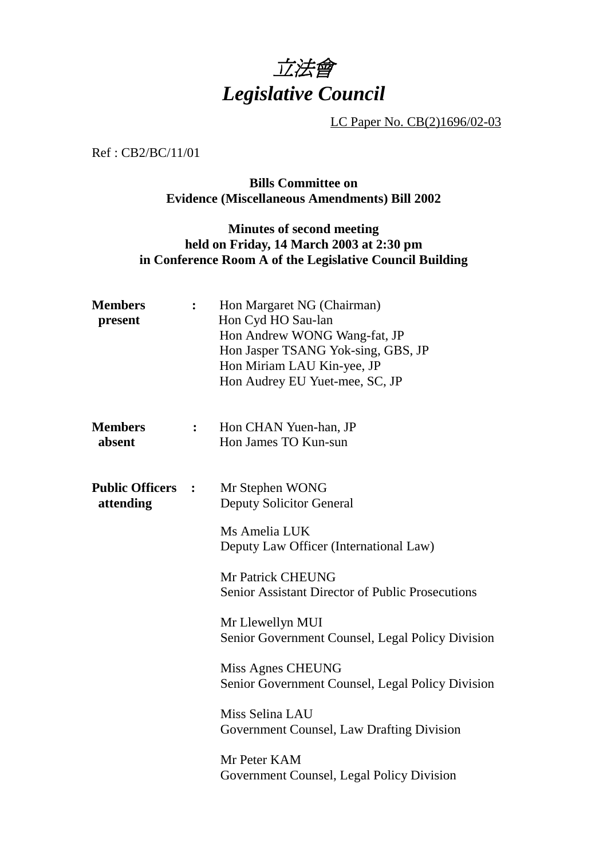

LC Paper No. CB(2)1696/02-03

#### Ref : CB2/BC/11/01

## **Bills Committee on Evidence (Miscellaneous Amendments) Bill 2002**

# **Minutes of second meeting held on Friday, 14 March 2003 at 2:30 pm in Conference Room A of the Legislative Council Building**

| <b>Members</b><br>present             |                         | Hon Margaret NG (Chairman)<br>Hon Cyd HO Sau-lan<br>Hon Andrew WONG Wang-fat, JP<br>Hon Jasper TSANG Yok-sing, GBS, JP<br>Hon Miriam LAU Kin-yee, JP<br>Hon Audrey EU Yuet-mee, SC, JP |
|---------------------------------------|-------------------------|----------------------------------------------------------------------------------------------------------------------------------------------------------------------------------------|
| <b>Members</b><br>absent              | : $\hfill \blacksquare$ | Hon CHAN Yuen-han, JP<br>Hon James TO Kun-sun                                                                                                                                          |
| <b>Public Officers :</b><br>attending |                         | Mr Stephen WONG<br><b>Deputy Solicitor General</b>                                                                                                                                     |
|                                       |                         | Ms Amelia LUK<br>Deputy Law Officer (International Law)                                                                                                                                |
|                                       |                         | <b>Mr Patrick CHEUNG</b><br><b>Senior Assistant Director of Public Prosecutions</b>                                                                                                    |
|                                       |                         | Mr Llewellyn MUI<br>Senior Government Counsel, Legal Policy Division                                                                                                                   |
|                                       |                         | Miss Agnes CHEUNG<br>Senior Government Counsel, Legal Policy Division                                                                                                                  |
|                                       |                         | Miss Selina LAU<br>Government Counsel, Law Drafting Division                                                                                                                           |
|                                       |                         | Mr Peter KAM<br>Government Counsel, Legal Policy Division                                                                                                                              |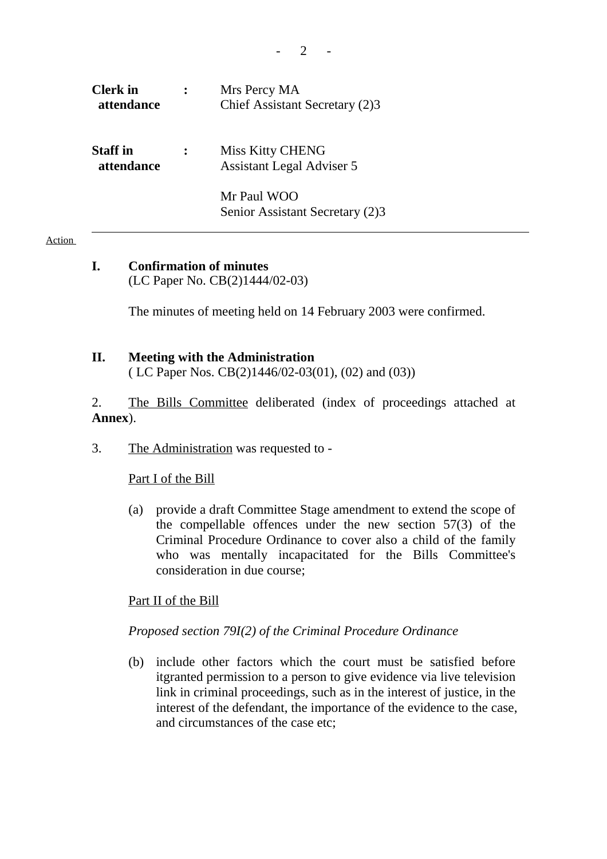| <b>Clerk</b> in<br>attendance |                | Mrs Percy MA<br>Chief Assistant Secretary (2)3              |
|-------------------------------|----------------|-------------------------------------------------------------|
| <b>Staff</b> in<br>attendance | $\ddot{\cdot}$ | <b>Miss Kitty CHENG</b><br><b>Assistant Legal Adviser 5</b> |
|                               |                | Mr Paul WOO<br>Senior Assistant Secretary (2)3              |

### **Action**

# **I. Confirmation of minutes**

(LC Paper No. CB(2)1444/02-03)

The minutes of meeting held on 14 February 2003 were confirmed.

# **II. Meeting with the Administration**

( LC Paper Nos. CB(2)1446/02-03(01), (02) and (03))

2. The Bills Committee deliberated (index of proceedings attached at **Annex**).

3. The Administration was requested to -

## Part I of the Bill

(a) provide a draft Committee Stage amendment to extend the scope of the compellable offences under the new section 57(3) of the Criminal Procedure Ordinance to cover also a child of the family who was mentally incapacitated for the Bills Committee's consideration in due course;

## Part II of the Bill

## *Proposed section 79I(2) of the Criminal Procedure Ordinance*

(b) include other factors which the court must be satisfied before itgranted permission to a person to give evidence via live television link in criminal proceedings, such as in the interest of justice, in the interest of the defendant, the importance of the evidence to the case, and circumstances of the case etc;

 $2 -$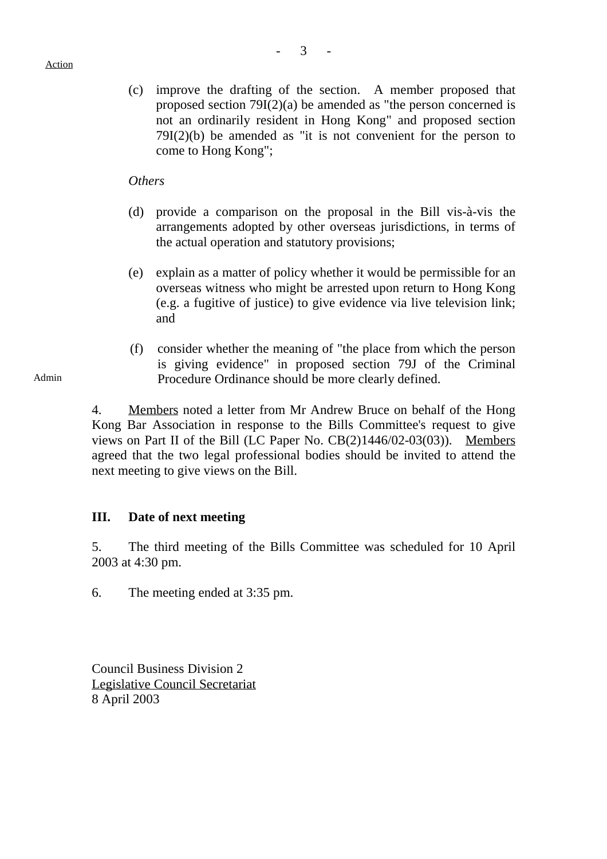(c) improve the drafting of the section. A member proposed that proposed section 79I(2)(a) be amended as "the person concerned is not an ordinarily resident in Hong Kong" and proposed section  $79I(2)(b)$  be amended as "it is not convenient for the person to come to Hong Kong";

### *Others*

- (d) provide a comparison on the proposal in the Bill vis-à-vis the arrangements adopted by other overseas jurisdictions, in terms of the actual operation and statutory provisions;
- (e) explain as a matter of policy whether it would be permissible for an overseas witness who might be arrested upon return to Hong Kong (e.g. a fugitive of justice) to give evidence via live television link; and
- (f) consider whether the meaning of "the place from which the person is giving evidence" in proposed section 79J of the Criminal Procedure Ordinance should be more clearly defined.

4. Members noted a letter from Mr Andrew Bruce on behalf of the Hong Kong Bar Association in response to the Bills Committee's request to give views on Part II of the Bill (LC Paper No. CB(2)1446/02-03(03)). Members agreed that the two legal professional bodies should be invited to attend the next meeting to give views on the Bill.

# **III. Date of next meeting**

5. The third meeting of the Bills Committee was scheduled for 10 April 2003 at 4:30 pm.

6. The meeting ended at 3:35 pm.

Council Business Division 2 Legislative Council Secretariat 8 April 2003

Admin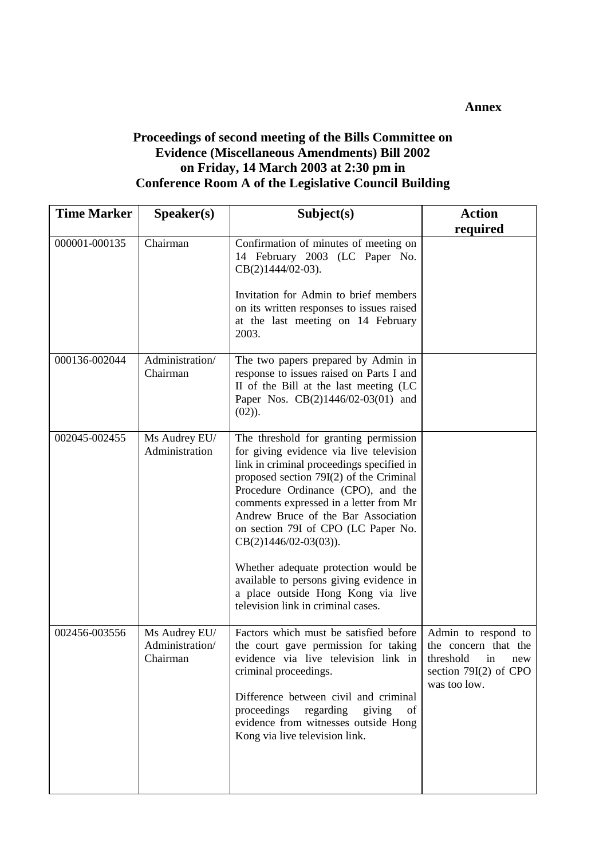#### **Annex**

# **Proceedings of second meeting of the Bills Committee on Evidence (Miscellaneous Amendments) Bill 2002 on Friday, 14 March 2003 at 2:30 pm in Conference Room A of the Legislative Council Building**

| <b>Time Marker</b> | S <sub>p</sub> e <sub>aker(s)</sub>          | Subject(s)                                                                                                                                                                                                                                                                                                                                                        | <b>Action</b>                                                                                                 |
|--------------------|----------------------------------------------|-------------------------------------------------------------------------------------------------------------------------------------------------------------------------------------------------------------------------------------------------------------------------------------------------------------------------------------------------------------------|---------------------------------------------------------------------------------------------------------------|
| 000001-000135      | Chairman                                     | Confirmation of minutes of meeting on<br>14 February 2003 (LC Paper No.<br>$CB(2)1444/02-03$ ).<br>Invitation for Admin to brief members<br>on its written responses to issues raised                                                                                                                                                                             | required                                                                                                      |
|                    |                                              | at the last meeting on 14 February<br>2003.                                                                                                                                                                                                                                                                                                                       |                                                                                                               |
| 000136-002044      | Administration/<br>Chairman                  | The two papers prepared by Admin in<br>response to issues raised on Parts I and<br>II of the Bill at the last meeting (LC<br>Paper Nos. CB(2)1446/02-03(01) and<br>$(02)$ ).                                                                                                                                                                                      |                                                                                                               |
| 002045-002455      | Ms Audrey EU/<br>Administration              | The threshold for granting permission<br>for giving evidence via live television<br>link in criminal proceedings specified in<br>proposed section 79I(2) of the Criminal<br>Procedure Ordinance (CPO), and the<br>comments expressed in a letter from Mr<br>Andrew Bruce of the Bar Association<br>on section 79I of CPO (LC Paper No.<br>$CB(2)1446/02-03(03)).$ |                                                                                                               |
|                    |                                              | Whether adequate protection would be<br>available to persons giving evidence in<br>a place outside Hong Kong via live<br>television link in criminal cases.                                                                                                                                                                                                       |                                                                                                               |
| 002456-003556      | Ms Audrey EU/<br>Administration/<br>Chairman | Factors which must be satisfied before<br>the court gave permission for taking<br>evidence via live television link in<br>criminal proceedings.<br>Difference between civil and criminal<br>proceedings regarding<br>giving<br>of<br>evidence from witnesses outside Hong<br>Kong via live television link.                                                       | Admin to respond to<br>the concern that the<br>threshold in<br>new<br>section $79I(2)$ of CPO<br>was too low. |
|                    |                                              |                                                                                                                                                                                                                                                                                                                                                                   |                                                                                                               |